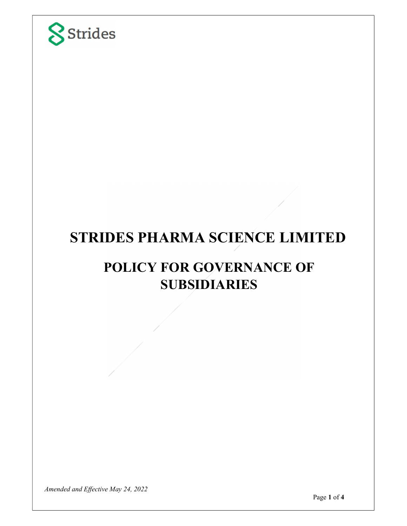

# STRIDES PHARMA SCIENCE LIMITED

## POLICY FOR GOVERNANCE OF SUBSIDIARIES

Amended and Effective May 24, 2022

Page 1 of **4**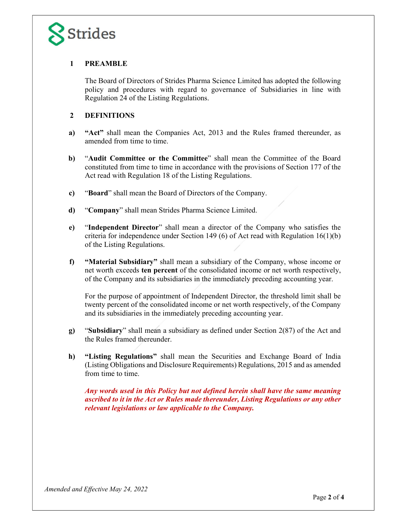

## 1 PREAMBLE

The Board of Directors of Strides Pharma Science Limited has adopted the following policy and procedures with regard to governance of Subsidiaries in line with Regulation 24 of the Listing Regulations. **Strides**<br> **The Board of Directors of Strides Pharma Science Limited has adopted the following<br>
policy and procedures with regard to governance of Subsidiaries in line with<br>
Regulation 24 of the Listing Regulations.<br>
<b>2** D

## 2 DEFINITIONS

- amended from time to time.
- b) "Audit Committee or the Committee" shall mean the Committee of the Board constituted from time to time in accordance with the provisions of Section 177 of the Act read with Regulation 18 of the Listing Regulations. Fracture Subsidiary the regard to generate the companies with the Rules framed thereunder, as<br> **Material Material mean the Companies Act, 2013** and the Rules framed thereunder, as<br> **Material Material mean the Company** shal
- c) "Board" shall mean the Board of Directors of the Company.
- d) "Company" shall mean Strides Pharma Science Limited.
- e) "Independent Director" shall mean a director of the Company who satisfies the criteria for independence under Section 149 (6) of Act read with Regulation  $16(1)(b)$ of the Listing Regulations.
- net worth exceeds ten percent of the consolidated income or net worth respectively, of the Company and its subsidiaries in the immediately preceding accounting year.

For the purpose of appointment of Independent Director, the threshold limit shall be twenty percent of the consolidated income or net worth respectively, of the Company and its subsidiaries in the immediately preceding accounting year.

- g) "Subsidiary" shall mean a subsidiary as defined under Section 2(87) of the Act and the Rules framed thereunder.
- **c)** "Board" shall mean the Board of Directors of the Company.<br> **c)** "Company" shall mean Strides Pharma Science Limited.<br> **e)** "Independent Director" shall mean a director of the Company who satisfies the criteria for in (Listing Obligations and Disclosure Requirements) Regulations, 2015 and as amended from time to time.

Any words used in this Policy but not defined herein shall have the same meaning ascribed to it in the Act or Rules made thereunder, Listing Regulations or any other relevant legislations or law applicable to the Company.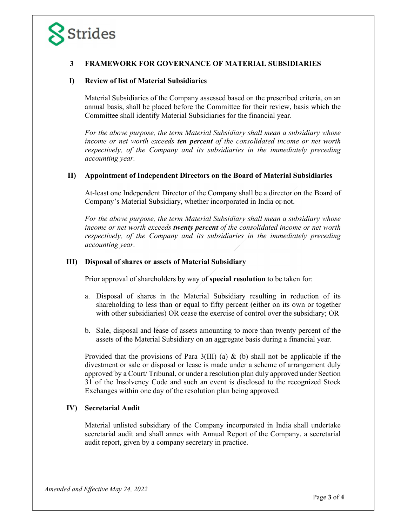## 3 FRAMEWORK FOR GOVERNANCE OF MATERIAL SUBSIDIARIES

Strides<br>
3 FRAMEWORK FOR GOVERNANCE OF MATERIAL SUBSIDIA<br>
I) Review of list of Material Subsidiaries<br>
Material Subsidiaries of the Company assessed based on the prescribed c<br>
2 annual basis, shall be placed before the Comm Material Subsidiaries of the Company assessed based on the prescribed criteria, on an annual basis, shall be placed before the Committee for their review, basis which the Committee shall identify Material Subsidiaries for the financial year.

For the above purpose, the term Material Subsidiary shall mean a subsidiary whose income or net worth exceeds **ten percent** of the consolidated income or net worth respectively, of the Company and its subsidiaries in the immediately preceding accounting year. **Strides**<br> **STRANEWORK FOR GOVERNANCE OF MATERIAL SUBSIDIARIES**<br> **Deview of list of Material Subsidiaries**<br>
Material Subsidiaries of the Company assessed based on the prescribed criteria, on an<br>
amual basis, shall be place

At-least one Independent Director of the Company shall be a director on the Board of Company's Material Subsidiary, whether incorporated in India or not.

For the above purpose, the term Material Subsidiary shall mean a subsidiary whose income or net worth exceeds **twenty percent** of the consolidated income or net worth respectively, of the Company and its subsidiaries in the immediately preceding accounting year. Material Subsidiaries of the Company assessed based on the prescribed criteria, on an annual basis, shall be placed before the Committee for their review, basis which the Committee shall identify Material Subsidiaries for

Prior approval of shareholders by way of special resolution to be taken for:

- a. Disposal of shares in the Material Subsidiary resulting in reduction of its shareholding to less than or equal to fifty percent (either on its own or together with other subsidiaries) OR cease the exercise of control over the subsidiary; OR
- b. Sale, disposal and lease of assets amounting to more than twenty percent of the assets of the Material Subsidiary on an aggregate basis during a financial year.

Provided that the provisions of Para  $3(III)$  (a) & (b) shall not be applicable if the divestment or sale or disposal or lease is made under a scheme of arrangement duly approved by a Court/ Tribunal, or under a resolution plan duly approved under Section 31 of the Insolvency Code and such an event is disclosed to the recognized Stock Exchanges within one day of the resolution plan being approved. respectively, of the Company and its subsulatries in the immediated<br>accounting year.<br>III) Disposal of shares or assets of Material Subsidiary<br>Prior approval of shares in the Material Subsidiary<br>Prior approval of shares in

Material unlisted subsidiary of the Company incorporated in India shall undertake secretarial audit and shall annex with Annual Report of the Company, a secretarial audit report, given by a company secretary in practice.